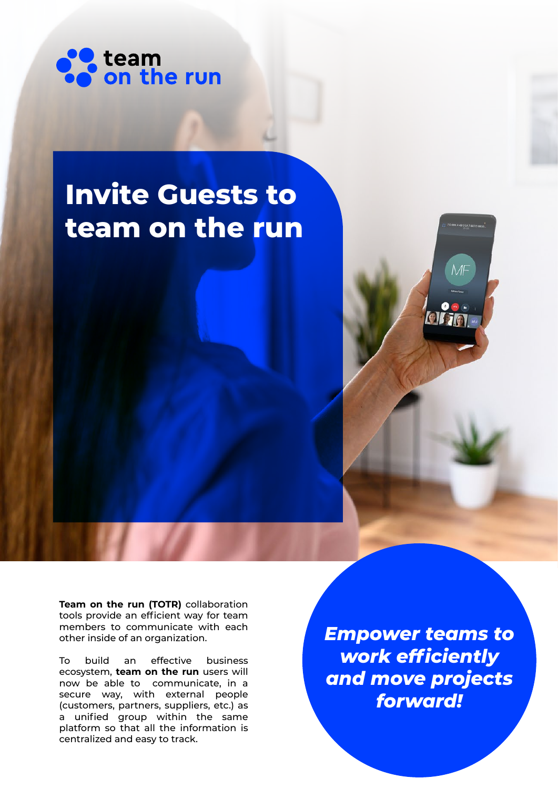

# **Invite Guests to team on the run**



**Team on the run (TOTR)** collaboration tools provide an efficient way for team members to communicate with each other inside of an organization.

To build an effective business ecosystem, **team on the run** users will now be able to communicate, in a secure way, with external people (customers, partners, suppliers, etc.) as a unified group within the same platform so that all the information is centralized and easy to track.

*Empower teams to work efficiently and move projects forward!*